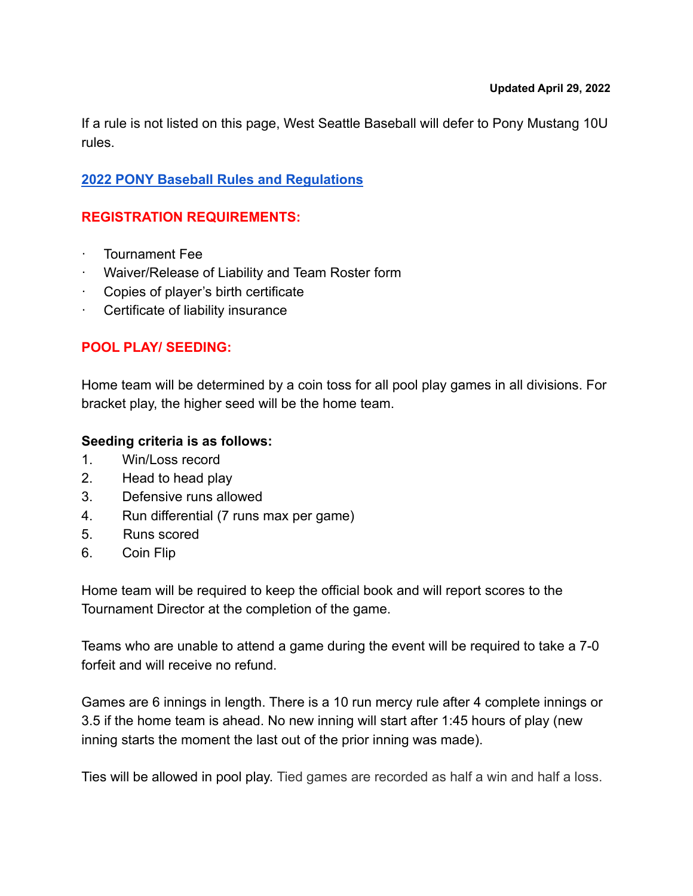If a rule is not listed on this page, West Seattle Baseball will defer to Pony Mustang 10U rules.

## **[2022 PONY Baseball Rules and Regulations](https://dt5602vnjxv0c.cloudfront.net/portals/10758/docs/rulebooks/2022%20pony%20baseball%20rulebook%20final%20web.pdf)**

# **REGISTRATION REQUIREMENTS:**

- · Tournament Fee
- · Waiver/Release of Liability and Team Roster form
- · Copies of player's birth certificate
- · Certificate of liability insurance

## **POOL PLAY/ SEEDING:**

Home team will be determined by a coin toss for all pool play games in all divisions. For bracket play, the higher seed will be the home team.

### **Seeding criteria is as follows:**

- 1. Win/Loss record
- 2. Head to head play
- 3. Defensive runs allowed
- 4. Run differential (7 runs max per game)
- 5. Runs scored
- 6. Coin Flip

Home team will be required to keep the official book and will report scores to the Tournament Director at the completion of the game.

Teams who are unable to attend a game during the event will be required to take a 7-0 forfeit and will receive no refund.

Games are 6 innings in length. There is a 10 run mercy rule after 4 complete innings or 3.5 if the home team is ahead. No new inning will start after 1:45 hours of play (new inning starts the moment the last out of the prior inning was made).

Ties will be allowed in pool play. Tied games are recorded as half a win and half a loss.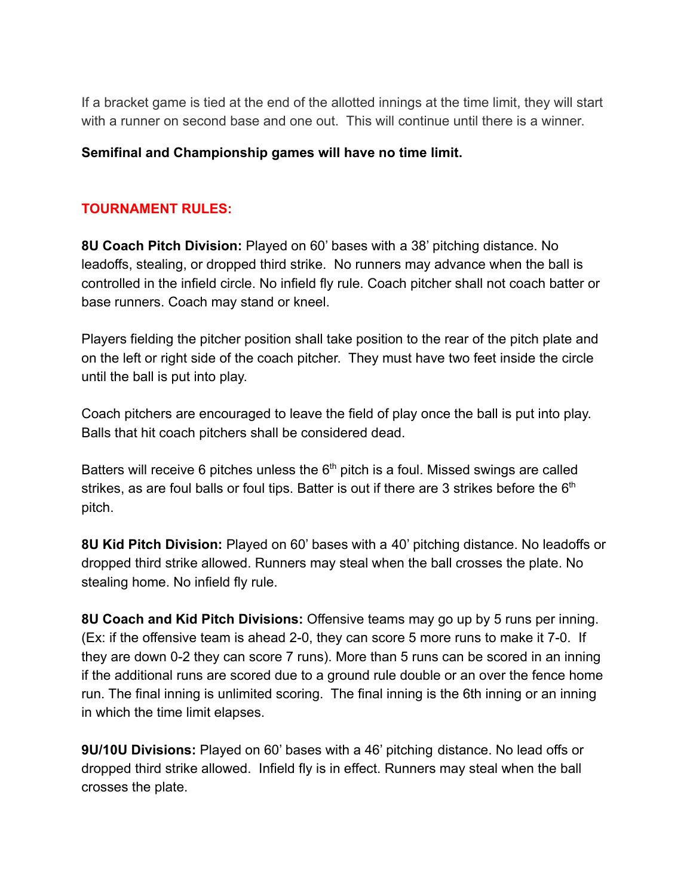If a bracket game is tied at the end of the allotted innings at the time limit, they will start with a runner on second base and one out. This will continue until there is a winner.

#### **Semifinal and Championship games will have no time limit.**

#### **TOURNAMENT RULES:**

**8U Coach Pitch Division:** Played on 60' bases with a 38' pitching distance. No leadoffs, stealing, or dropped third strike. No runners may advance when the ball is controlled in the infield circle. No infield fly rule. Coach pitcher shall not coach batter or base runners. Coach may stand or kneel.

Players fielding the pitcher position shall take position to the rear of the pitch plate and on the left or right side of the coach pitcher. They must have two feet inside the circle until the ball is put into play.

Coach pitchers are encouraged to leave the field of play once the ball is put into play. Balls that hit coach pitchers shall be considered dead.

Batters will receive 6 pitches unless the  $6<sup>th</sup>$  pitch is a foul. Missed swings are called strikes, as are foul balls or foul tips. Batter is out if there are 3 strikes before the  $6<sup>th</sup>$ pitch.

**8U Kid Pitch Division:** Played on 60' bases with a 40' pitching distance. No leadoffs or dropped third strike allowed. Runners may steal when the ball crosses the plate. No stealing home. No infield fly rule.

**8U Coach and Kid Pitch Divisions:** Offensive teams may go up by 5 runs per inning. (Ex: if the offensive team is ahead 2-0, they can score 5 more runs to make it 7-0. If they are down 0-2 they can score 7 runs). More than 5 runs can be scored in an inning if the additional runs are scored due to a ground rule double or an over the fence home run. The final inning is unlimited scoring. The final inning is the 6th inning or an inning in which the time limit elapses.

**9U/10U Divisions:** Played on 60' bases with a 46' pitching distance. No lead offs or dropped third strike allowed. Infield fly is in effect. Runners may steal when the ball crosses the plate.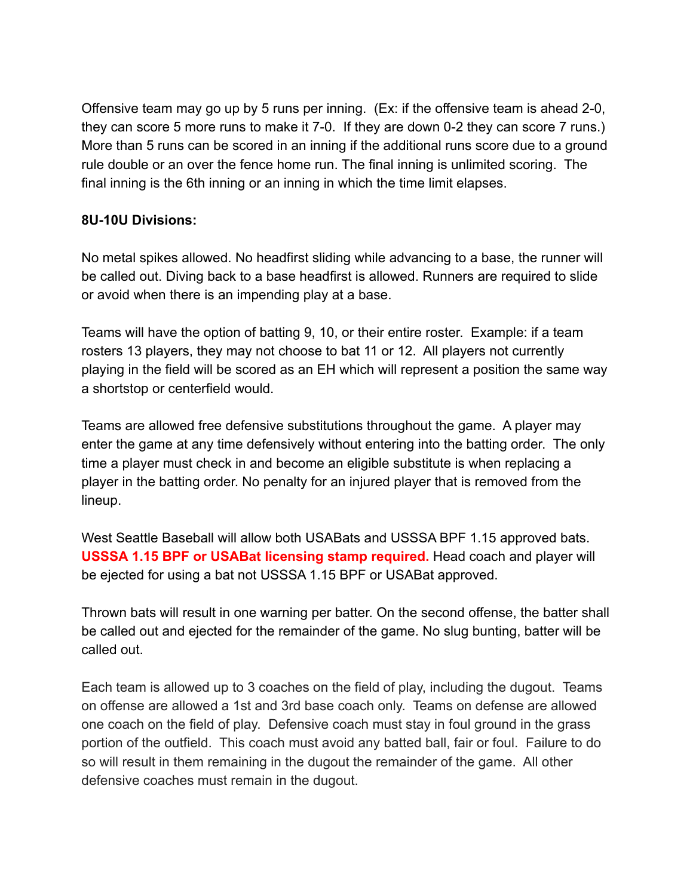Offensive team may go up by 5 runs per inning. (Ex: if the offensive team is ahead 2-0, they can score 5 more runs to make it 7-0. If they are down 0-2 they can score 7 runs.) More than 5 runs can be scored in an inning if the additional runs score due to a ground rule double or an over the fence home run. The final inning is unlimited scoring. The final inning is the 6th inning or an inning in which the time limit elapses.

#### **8U-10U Divisions:**

No metal spikes allowed. No headfirst sliding while advancing to a base, the runner will be called out. Diving back to a base headfirst is allowed. Runners are required to slide or avoid when there is an impending play at a base.

Teams will have the option of batting 9, 10, or their entire roster. Example: if a team rosters 13 players, they may not choose to bat 11 or 12. All players not currently playing in the field will be scored as an EH which will represent a position the same way a shortstop or centerfield would.

Teams are allowed free defensive substitutions throughout the game. A player may enter the game at any time defensively without entering into the batting order. The only time a player must check in and become an eligible substitute is when replacing a player in the batting order. No penalty for an injured player that is removed from the lineup.

West Seattle Baseball will allow both USABats and USSSA BPF 1.15 approved bats. **USSSA 1.15 BPF or USABat licensing stamp required.** Head coach and player will be ejected for using a bat not USSSA 1.15 BPF or USABat approved.

Thrown bats will result in one warning per batter. On the second offense, the batter shall be called out and ejected for the remainder of the game. No slug bunting, batter will be called out.

Each team is allowed up to 3 coaches on the field of play, including the dugout. Teams on offense are allowed a 1st and 3rd base coach only. Teams on defense are allowed one coach on the field of play. Defensive coach must stay in foul ground in the grass portion of the outfield. This coach must avoid any batted ball, fair or foul. Failure to do so will result in them remaining in the dugout the remainder of the game. All other defensive coaches must remain in the dugout.